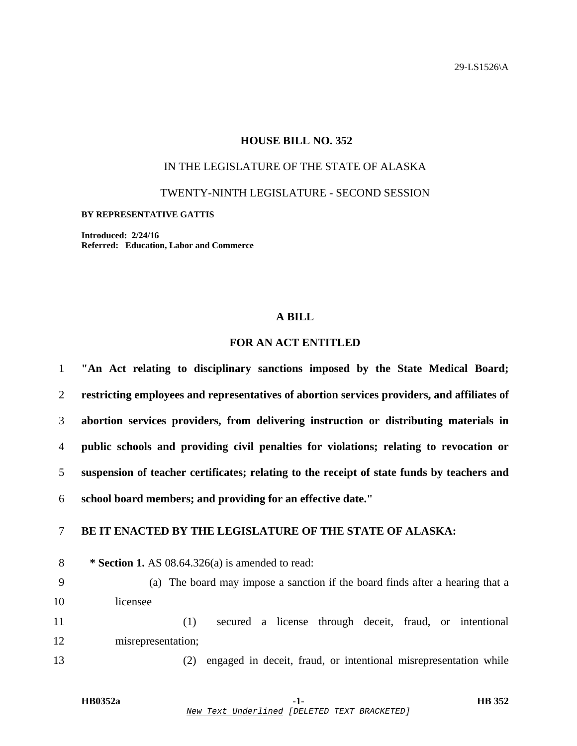29-LS1526\A

## **HOUSE BILL NO. 352**

# IN THE LEGISLATURE OF THE STATE OF ALASKA

TWENTY-NINTH LEGISLATURE - SECOND SESSION

#### **BY REPRESENTATIVE GATTIS**

**Introduced: 2/24/16 Referred: Education, Labor and Commerce** 

### **A BILL**

## **FOR AN ACT ENTITLED**

| $\mathbf{1}$ | "An Act relating to disciplinary sanctions imposed by the State Medical Board;              |
|--------------|---------------------------------------------------------------------------------------------|
| 2            | restricting employees and representatives of abortion services providers, and affiliates of |
| 3            | abortion services providers, from delivering instruction or distributing materials in       |
| 4            | public schools and providing civil penalties for violations; relating to revocation or      |
| 5            | suspension of teacher certificates; relating to the receipt of state funds by teachers and  |
| 6            | school board members; and providing for an effective date."                                 |
| $\tau$       | BE IT ENACTED BY THE LEGISLATURE OF THE STATE OF ALASKA:                                    |
| 8            | * Section 1. AS $08.64.326(a)$ is amended to read:                                          |
| 9            | (a) The board may impose a sanction if the board finds after a hearing that a               |
| 10           | licensee                                                                                    |
| 11           | secured a license through deceit, fraud, or intentional<br>(1)                              |
| 12           | misrepresentation;                                                                          |
| 13           | engaged in deceit, fraud, or intentional misrepresentation while<br>(2)                     |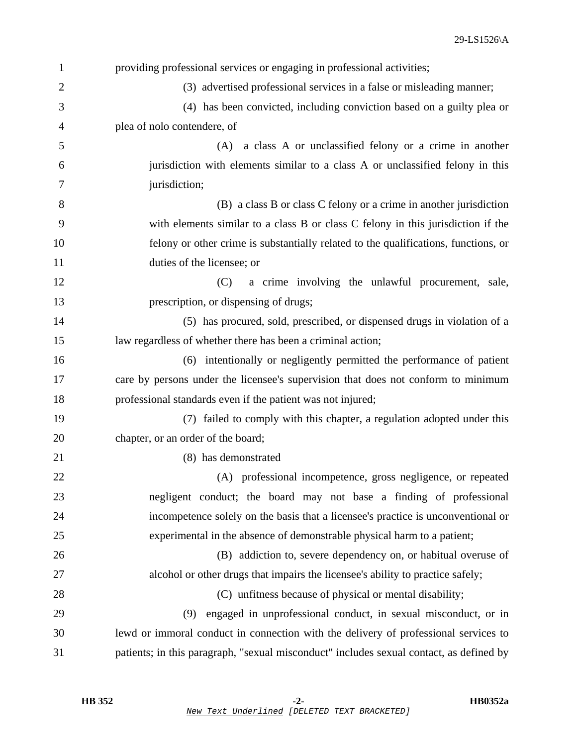| 1              | providing professional services or engaging in professional activities;                 |
|----------------|-----------------------------------------------------------------------------------------|
| $\overline{2}$ | (3) advertised professional services in a false or misleading manner;                   |
| 3              | (4) has been convicted, including conviction based on a guilty plea or                  |
| $\overline{4}$ | plea of nolo contendere, of                                                             |
| 5              | a class A or unclassified felony or a crime in another<br>(A)                           |
| 6              | jurisdiction with elements similar to a class A or unclassified felony in this          |
| 7              | jurisdiction;                                                                           |
| 8              | (B) a class B or class C felony or a crime in another jurisdiction                      |
| 9              | with elements similar to a class B or class C felony in this jurisdiction if the        |
| 10             | felony or other crime is substantially related to the qualifications, functions, or     |
| 11             | duties of the licensee; or                                                              |
| 12             | (C)<br>a crime involving the unlawful procurement, sale,                                |
| 13             | prescription, or dispensing of drugs;                                                   |
| 14             | (5) has procured, sold, prescribed, or dispensed drugs in violation of a                |
| 15             | law regardless of whether there has been a criminal action;                             |
| 16             | (6) intentionally or negligently permitted the performance of patient                   |
| 17             | care by persons under the licensee's supervision that does not conform to minimum       |
| 18             | professional standards even if the patient was not injured;                             |
| 19             | (7) failed to comply with this chapter, a regulation adopted under this                 |
| 20             | chapter, or an order of the board;                                                      |
| 21             | (8) has demonstrated                                                                    |
| 22             | (A) professional incompetence, gross negligence, or repeated                            |
| 23             | negligent conduct; the board may not base a finding of professional                     |
| 24             | incompetence solely on the basis that a licensee's practice is unconventional or        |
| 25             | experimental in the absence of demonstrable physical harm to a patient;                 |
| 26             | (B) addiction to, severe dependency on, or habitual overuse of                          |
| 27             | alcohol or other drugs that impairs the licensee's ability to practice safely;          |
| 28             | (C) unfitness because of physical or mental disability;                                 |
| 29             | engaged in unprofessional conduct, in sexual misconduct, or in<br>(9)                   |
| 30             | lewd or immoral conduct in connection with the delivery of professional services to     |
| 31             | patients; in this paragraph, "sexual misconduct" includes sexual contact, as defined by |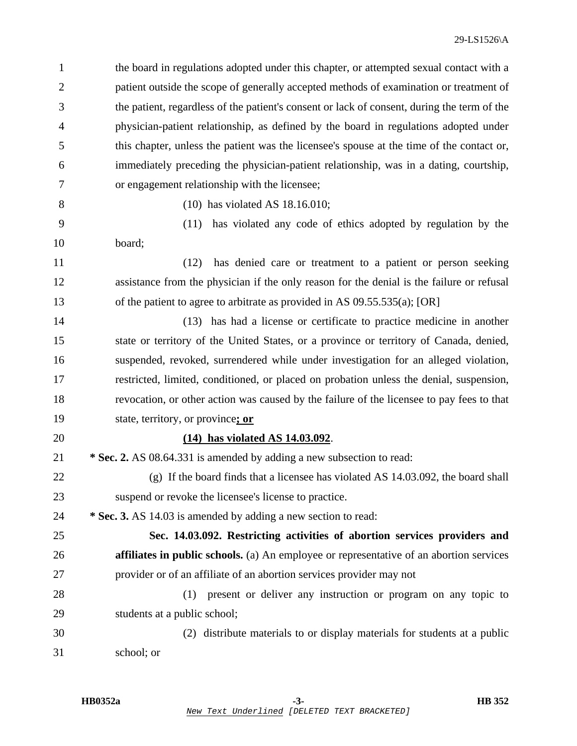1 the board in regulations adopted under this chapter, or attempted sexual contact with a 2 patient outside the scope of generally accepted methods of examination or treatment of 3 the patient, regardless of the patient's consent or lack of consent, during the term of the 4 physician-patient relationship, as defined by the board in regulations adopted under 5 this chapter, unless the patient was the licensee's spouse at the time of the contact or, 6 immediately preceding the physician-patient relationship, was in a dating, courtship, 7 or engagement relationship with the licensee; 8 (10) has violated AS 18.16.010; 9 (11) has violated any code of ethics adopted by regulation by the 10 board; 11 (12) has denied care or treatment to a patient or person seeking 12 assistance from the physician if the only reason for the denial is the failure or refusal 13 of the patient to agree to arbitrate as provided in AS 09.55.535(a); [OR] 14 (13) has had a license or certificate to practice medicine in another 15 state or territory of the United States, or a province or territory of Canada, denied, 16 suspended, revoked, surrendered while under investigation for an alleged violation, 17 restricted, limited, conditioned, or placed on probation unless the denial, suspension, 18 revocation, or other action was caused by the failure of the licensee to pay fees to that 19 state, territory, or province**; or** 20 **(14) has violated AS 14.03.092**. 21 **\* Sec. 2.** AS 08.64.331 is amended by adding a new subsection to read: 22 (g) If the board finds that a licensee has violated AS 14.03.092, the board shall 23 suspend or revoke the licensee's license to practice. 24 **\* Sec. 3.** AS 14.03 is amended by adding a new section to read: 25 **Sec. 14.03.092. Restricting activities of abortion services providers and**  26 **affiliates in public schools.** (a) An employee or representative of an abortion services 27 provider or of an affiliate of an abortion services provider may not 28 (1) present or deliver any instruction or program on any topic to 29 students at a public school; 30 (2) distribute materials to or display materials for students at a public 31 school; or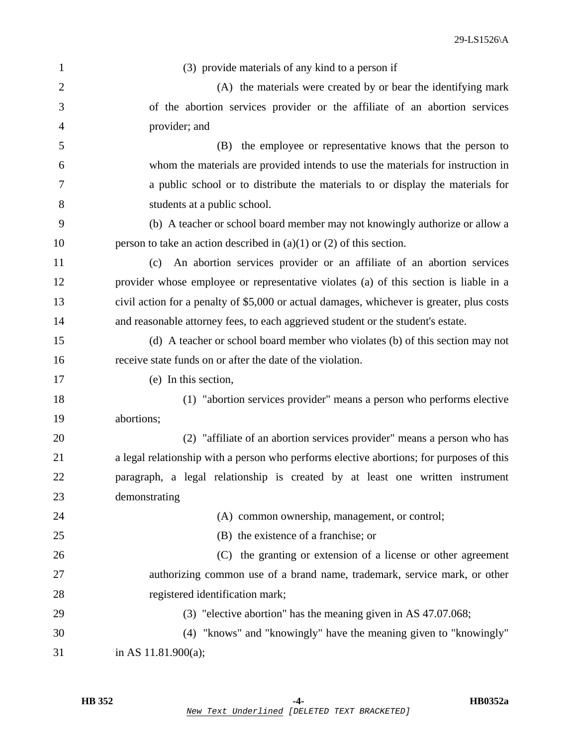| $\mathbf{1}$   | (3) provide materials of any kind to a person if                                          |
|----------------|-------------------------------------------------------------------------------------------|
| $\overline{2}$ | (A) the materials were created by or bear the identifying mark                            |
| 3              | of the abortion services provider or the affiliate of an abortion services                |
| 4              | provider; and                                                                             |
| 5              | (B) the employee or representative knows that the person to                               |
| 6              | whom the materials are provided intends to use the materials for instruction in           |
| 7              | a public school or to distribute the materials to or display the materials for            |
| 8              | students at a public school.                                                              |
| 9              | (b) A teacher or school board member may not knowingly authorize or allow a               |
| 10             | person to take an action described in $(a)(1)$ or $(2)$ of this section.                  |
| 11             | An abortion services provider or an affiliate of an abortion services<br>(c)              |
| 12             | provider whose employee or representative violates (a) of this section is liable in a     |
| 13             | civil action for a penalty of \$5,000 or actual damages, whichever is greater, plus costs |
| 14             | and reasonable attorney fees, to each aggrieved student or the student's estate.          |
| 15             | (d) A teacher or school board member who violates (b) of this section may not             |
| 16             | receive state funds on or after the date of the violation.                                |
| 17             | (e) In this section,                                                                      |
| 18             | (1) "abortion services provider" means a person who performs elective                     |
| 19             | abortions;                                                                                |
| 20             | (2) "affiliate of an abortion services provider" means a person who has                   |
| 21             | a legal relationship with a person who performs elective abortions; for purposes of this  |
| 22             | paragraph, a legal relationship is created by at least one written instrument             |
| 23             | demonstrating                                                                             |
| 24             | (A) common ownership, management, or control;                                             |
| 25             | (B) the existence of a franchise; or                                                      |
| 26             | (C) the granting or extension of a license or other agreement                             |
| 27             | authorizing common use of a brand name, trademark, service mark, or other                 |
| 28             | registered identification mark;                                                           |
| 29             | (3) "elective abortion" has the meaning given in AS 47.07.068;                            |
| 30             | (4) "knows" and "knowingly" have the meaning given to "knowingly"                         |
| 31             | in AS $11.81.900(a)$ ;                                                                    |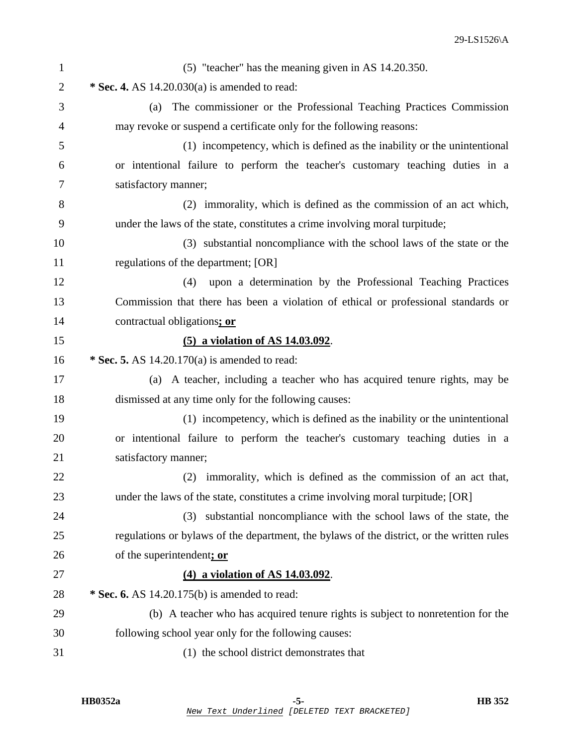| $\mathbf{1}$   | (5) "teacher" has the meaning given in AS 14.20.350.                                      |
|----------------|-------------------------------------------------------------------------------------------|
| $\overline{2}$ | * Sec. 4. AS $14.20.030(a)$ is amended to read:                                           |
| 3              | The commissioner or the Professional Teaching Practices Commission<br>(a)                 |
| 4              | may revoke or suspend a certificate only for the following reasons:                       |
| 5              | (1) incompetency, which is defined as the inability or the unintentional                  |
| 6              | or intentional failure to perform the teacher's customary teaching duties in a            |
| 7              | satisfactory manner;                                                                      |
| 8              | (2) immorality, which is defined as the commission of an act which,                       |
| 9              | under the laws of the state, constitutes a crime involving moral turpitude;               |
| 10             | (3) substantial noncompliance with the school laws of the state or the                    |
| 11             | regulations of the department; [OR]                                                       |
| 12             | upon a determination by the Professional Teaching Practices<br>(4)                        |
| 13             | Commission that there has been a violation of ethical or professional standards or        |
| 14             | contractual obligations; or                                                               |
| 15             | (5) a violation of AS 14.03.092.                                                          |
| 16             | * Sec. 5. AS $14.20.170(a)$ is amended to read:                                           |
| 17             | (a) A teacher, including a teacher who has acquired tenure rights, may be                 |
| 18             | dismissed at any time only for the following causes:                                      |
| 19             | (1) incompetency, which is defined as the inability or the unintentional                  |
| 20             | or intentional failure to perform the teacher's customary teaching duties in a            |
| 21             | satisfactory manner;                                                                      |
| 22             | (2) immorality, which is defined as the commission of an act that,                        |
| 23             | under the laws of the state, constitutes a crime involving moral turpitude; [OR]          |
| 24             | substantial noncompliance with the school laws of the state, the<br>(3)                   |
| 25             | regulations or bylaws of the department, the bylaws of the district, or the written rules |
| 26             | of the superintendent; or                                                                 |
| 27             | (4) a violation of AS 14.03.092.                                                          |
| 28             | * Sec. 6. AS 14.20.175(b) is amended to read:                                             |
| 29             | (b) A teacher who has acquired tenure rights is subject to nonretention for the           |
| 30             | following school year only for the following causes:                                      |
| 31             | (1) the school district demonstrates that                                                 |